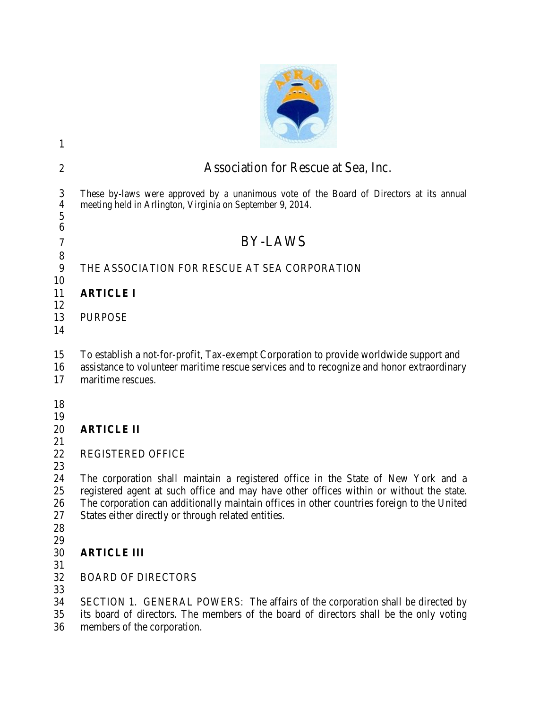| 1                                       |                                                                                                                                                                                                                                                                                                                                   |  |  |  |  |  |
|-----------------------------------------|-----------------------------------------------------------------------------------------------------------------------------------------------------------------------------------------------------------------------------------------------------------------------------------------------------------------------------------|--|--|--|--|--|
| $\overline{2}$                          | Association for Rescue at Sea, Inc.                                                                                                                                                                                                                                                                                               |  |  |  |  |  |
| 3<br>$\overline{\mathcal{A}}$<br>5<br>6 | These by-laws were approved by a unanimous vote of the Board of Directors at its annual<br>meeting held in Arlington, Virginia on September 9, 2014.                                                                                                                                                                              |  |  |  |  |  |
| 7                                       | <b>BY-LAWS</b>                                                                                                                                                                                                                                                                                                                    |  |  |  |  |  |
| 8<br>9                                  | THE ASSOCIATION FOR RESCUE AT SEA CORPORATION                                                                                                                                                                                                                                                                                     |  |  |  |  |  |
| 10<br>11                                | <b>ARTICLE I</b>                                                                                                                                                                                                                                                                                                                  |  |  |  |  |  |
| 12<br>13<br>14                          | <b>PURPOSE</b>                                                                                                                                                                                                                                                                                                                    |  |  |  |  |  |
| 15<br>16<br>17                          | To establish a not-for-profit, Tax-exempt Corporation to provide worldwide support and<br>assistance to volunteer maritime rescue services and to recognize and honor extraordinary<br>maritime rescues.                                                                                                                          |  |  |  |  |  |
| 18<br>19<br>20<br>21                    | <b>ARTICLE II</b>                                                                                                                                                                                                                                                                                                                 |  |  |  |  |  |
| 22                                      | <b>REGISTERED OFFICE</b>                                                                                                                                                                                                                                                                                                          |  |  |  |  |  |
| 23<br>24<br>25<br>26<br>27<br>28<br>29  | The corporation shall maintain a registered office in the State of New York and a<br>registered agent at such office and may have other offices within or without the state.<br>The corporation can additionally maintain offices in other countries foreign to the United<br>States either directly or through related entities. |  |  |  |  |  |
| 30                                      | <b>ARTICLE III</b>                                                                                                                                                                                                                                                                                                                |  |  |  |  |  |
| 31<br>32                                | <b>BOARD OF DIRECTORS</b>                                                                                                                                                                                                                                                                                                         |  |  |  |  |  |
| 33<br>34<br>35<br>36                    | SECTION 1. GENERAL POWERS: The affairs of the corporation shall be directed by<br>its board of directors. The members of the board of directors shall be the only voting<br>members of the corporation.                                                                                                                           |  |  |  |  |  |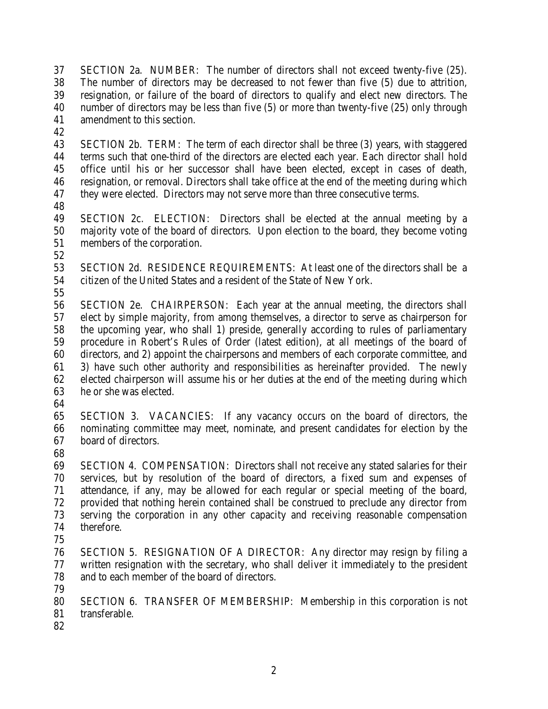SECTION 2a. NUMBER: The number of directors shall not exceed twenty-five (25). The number of directors may be decreased to not fewer than five (5) due to attrition, resignation, or failure of the board of directors to qualify and elect new directors. The number of directors may be less than five (5) or more than twenty-five (25) only through amendment to this section.

 SECTION 2b. TERM: The term of each director shall be three (3) years, with staggered terms such that one-third of the directors are elected each year. Each director shall hold office until his or her successor shall have been elected, except in cases of death, resignation, or removal. Directors shall take office at the end of the meeting during which they were elected. Directors may not serve more than three consecutive terms.

 SECTION 2c. ELECTION: Directors shall be elected at the annual meeting by a majority vote of the board of directors. Upon election to the board, they become voting members of the corporation.

 SECTION 2d. RESIDENCE REQUIREMENTS: At least one of the directors shall be a citizen of the United States and a resident of the State of New York.

 SECTION 2e. CHAIRPERSON: Each year at the annual meeting, the directors shall elect by simple majority, from among themselves, a director to serve as chairperson for the upcoming year, who shall 1) preside, generally according to rules of parliamentary procedure in Robert's Rules of Order (latest edition), at all meetings of the board of directors, and 2) appoint the chairpersons and members of each corporate committee, and 3) have such other authority and responsibilities as hereinafter provided. The newly elected chairperson will assume his or her duties at the end of the meeting during which he or she was elected.

 SECTION 3. VACANCIES: If any vacancy occurs on the board of directors, the nominating committee may meet, nominate, and present candidates for election by the board of directors.

 SECTION 4. COMPENSATION: Directors shall not receive any stated salaries for their services, but by resolution of the board of directors, a fixed sum and expenses of attendance, if any, may be allowed for each regular or special meeting of the board, provided that nothing herein contained shall be construed to preclude any director from serving the corporation in any other capacity and receiving reasonable compensation therefore.

 SECTION 5. RESIGNATION OF A DIRECTOR: Any director may resign by filing a written resignation with the secretary, who shall deliver it immediately to the president and to each member of the board of directors.

 SECTION 6. TRANSFER OF MEMBERSHIP: Membership in this corporation is not transferable.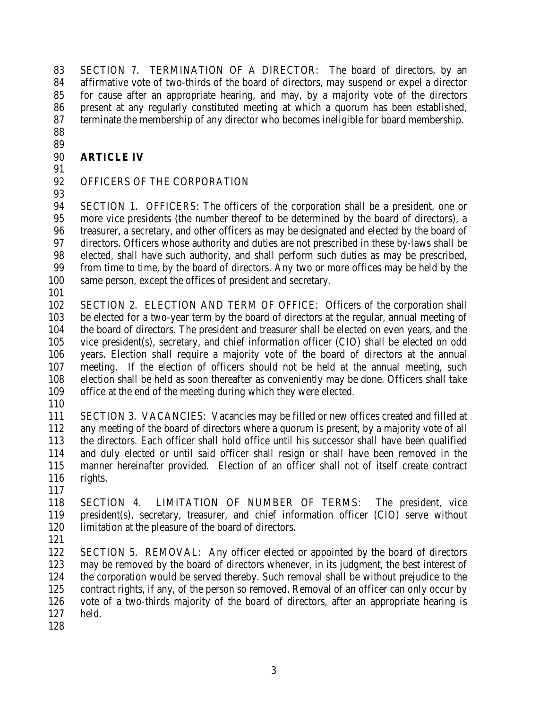SECTION 7. TERMINATION OF A DIRECTOR: The board of directors, by an affirmative vote of two-thirds of the board of directors, may suspend or expel a director for cause after an appropriate hearing, and may, by a majority vote of the directors present at any regularly constituted meeting at which a quorum has been established, terminate the membership of any director who becomes ineligible for board membership.

 

### **ARTICLE IV**

# OFFICERS OF THE CORPORATION

 SECTION 1. OFFICERS: The officers of the corporation shall be a president, one or more vice presidents (the number thereof to be determined by the board of directors), a treasurer, a secretary, and other officers as may be designated and elected by the board of directors. Officers whose authority and duties are not prescribed in these by-laws shall be elected, shall have such authority, and shall perform such duties as may be prescribed, from time to time, by the board of directors. Any two or more offices may be held by the same person, except the offices of president and secretary.

 SECTION 2. ELECTION AND TERM OF OFFICE: Officers of the corporation shall be elected for a two-year term by the board of directors at the regular, annual meeting of the board of directors. The president and treasurer shall be elected on even years, and the vice president(s), secretary, and chief information officer (CIO) shall be elected on odd years. Election shall require a majority vote of the board of directors at the annual meeting. If the election of officers should not be held at the annual meeting, such election shall be held as soon thereafter as conveniently may be done. Officers shall take office at the end of the meeting during which they were elected.

 SECTION 3. VACANCIES: Vacancies may be filled or new offices created and filled at any meeting of the board of directors where a quorum is present, by a majority vote of all the directors. Each officer shall hold office until his successor shall have been qualified and duly elected or until said officer shall resign or shall have been removed in the manner hereinafter provided. Election of an officer shall not of itself create contract rights.

 SECTION 4. LIMITATION OF NUMBER OF TERMS: The president, vice president(s), secretary, treasurer, and chief information officer (CIO) serve without limitation at the pleasure of the board of directors.

 SECTION 5. REMOVAL: Any officer elected or appointed by the board of directors may be removed by the board of directors whenever, in its judgment, the best interest of the corporation would be served thereby. Such removal shall be without prejudice to the contract rights, if any, of the person so removed. Removal of an officer can only occur by vote of a two-thirds majority of the board of directors, after an appropriate hearing is held.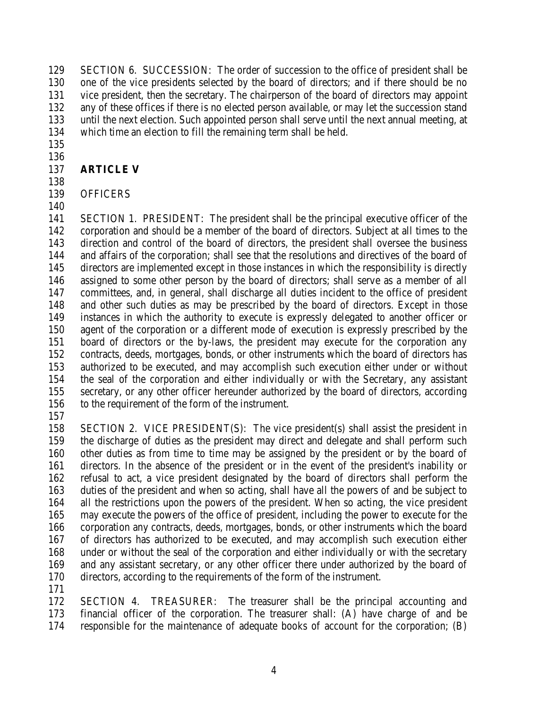SECTION 6. SUCCESSION: The order of succession to the office of president shall be one of the vice presidents selected by the board of directors; and if there should be no vice president, then the secretary. The chairperson of the board of directors may appoint any of these offices if there is no elected person available, or may let the succession stand until the next election. Such appointed person shall serve until the next annual meeting, at which time an election to fill the remaining term shall be held.

 

# **ARTICLE V**

# OFFICERS

 SECTION 1. PRESIDENT: The president shall be the principal executive officer of the corporation and should be a member of the board of directors. Subject at all times to the direction and control of the board of directors, the president shall oversee the business and affairs of the corporation; shall see that the resolutions and directives of the board of directors are implemented except in those instances in which the responsibility is directly assigned to some other person by the board of directors; shall serve as a member of all committees, and, in general, shall discharge all duties incident to the office of president and other such duties as may be prescribed by the board of directors. Except in those instances in which the authority to execute is expressly delegated to another officer or agent of the corporation or a different mode of execution is expressly prescribed by the board of directors or the by-laws, the president may execute for the corporation any contracts, deeds, mortgages, bonds, or other instruments which the board of directors has authorized to be executed, and may accomplish such execution either under or without the seal of the corporation and either individually or with the Secretary, any assistant secretary, or any other officer hereunder authorized by the board of directors, according to the requirement of the form of the instrument.

 SECTION 2. VICE PRESIDENT(S): The vice president(s) shall assist the president in the discharge of duties as the president may direct and delegate and shall perform such other duties as from time to time may be assigned by the president or by the board of directors. In the absence of the president or in the event of the president's inability or refusal to act, a vice president designated by the board of directors shall perform the duties of the president and when so acting, shall have all the powers of and be subject to all the restrictions upon the powers of the president. When so acting, the vice president may execute the powers of the office of president, including the power to execute for the corporation any contracts, deeds, mortgages, bonds, or other instruments which the board of directors has authorized to be executed, and may accomplish such execution either under or without the seal of the corporation and either individually or with the secretary and any assistant secretary, or any other officer there under authorized by the board of directors, according to the requirements of the form of the instrument.

 SECTION 4. TREASURER: The treasurer shall be the principal accounting and financial officer of the corporation. The treasurer shall: (A) have charge of and be responsible for the maintenance of adequate books of account for the corporation; (B)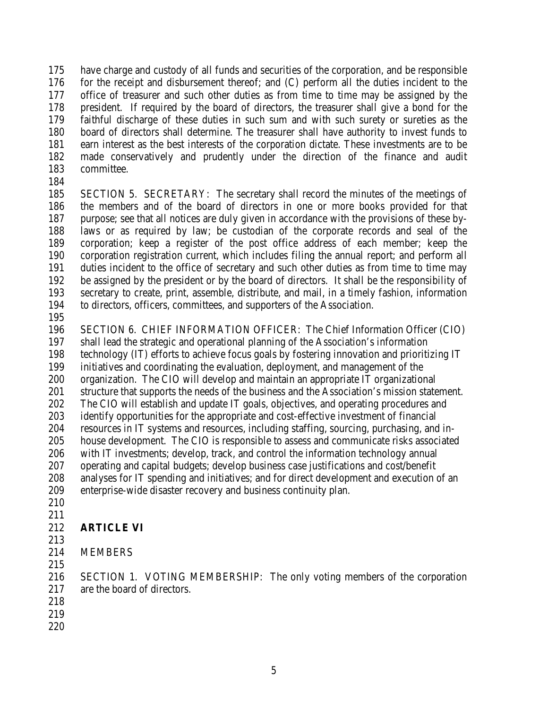have charge and custody of all funds and securities of the corporation, and be responsible for the receipt and disbursement thereof; and (C) perform all the duties incident to the office of treasurer and such other duties as from time to time may be assigned by the president. If required by the board of directors, the treasurer shall give a bond for the faithful discharge of these duties in such sum and with such surety or sureties as the board of directors shall determine. The treasurer shall have authority to invest funds to earn interest as the best interests of the corporation dictate. These investments are to be made conservatively and prudently under the direction of the finance and audit committee.

 SECTION 5. SECRETARY: The secretary shall record the minutes of the meetings of the members and of the board of directors in one or more books provided for that purpose; see that all notices are duly given in accordance with the provisions of these by- laws or as required by law; be custodian of the corporate records and seal of the corporation; keep a register of the post office address of each member; keep the corporation registration current, which includes filing the annual report; and perform all duties incident to the office of secretary and such other duties as from time to time may be assigned by the president or by the board of directors. It shall be the responsibility of secretary to create, print, assemble, distribute, and mail, in a timely fashion, information to directors, officers, committees, and supporters of the Association.

 SECTION 6. CHIEF INFORMATION OFFICER: The Chief Information Officer (CIO) shall lead the strategic and operational planning of the Association's information technology (IT) efforts to achieve focus goals by fostering innovation and prioritizing IT initiatives and coordinating the evaluation, deployment, and management of the organization. The CIO will develop and maintain an appropriate IT organizational structure that supports the needs of the business and the Association's mission statement. The CIO will establish and update IT goals, objectives, and operating procedures and identify opportunities for the appropriate and cost-effective investment of financial resources in IT systems and resources, including staffing, sourcing, purchasing, and in- house development. The CIO is responsible to assess and communicate risks associated with IT investments; develop, track, and control the information technology annual operating and capital budgets; develop business case justifications and cost/benefit analyses for IT spending and initiatives; and for direct development and execution of an enterprise-wide disaster recovery and business continuity plan.

 

# **ARTICLE VI**

- 
- MEMBERS
- 

 SECTION 1. VOTING MEMBERSHIP: The only voting members of the corporation are the board of directors.

- 
- 
-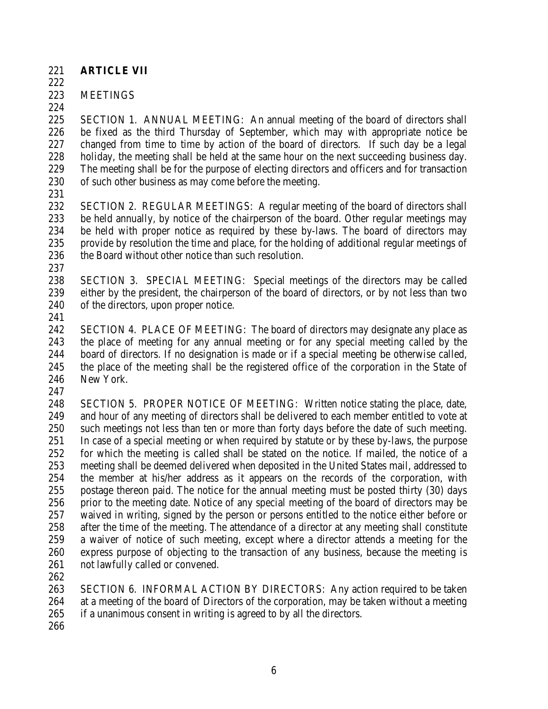- **ARTICLE VII**
- 

MEETINGS

 SECTION 1. ANNUAL MEETING: An annual meeting of the board of directors shall be fixed as the third Thursday of September, which may with appropriate notice be changed from time to time by action of the board of directors. If such day be a legal holiday, the meeting shall be held at the same hour on the next succeeding business day. The meeting shall be for the purpose of electing directors and officers and for transaction of such other business as may come before the meeting.

 SECTION 2. REGULAR MEETINGS: A regular meeting of the board of directors shall be held annually, by notice of the chairperson of the board. Other regular meetings may be held with proper notice as required by these by-laws. The board of directors may provide by resolution the time and place, for the holding of additional regular meetings of 236 the Board without other notice than such resolution.

 SECTION 3. SPECIAL MEETING: Special meetings of the directors may be called either by the president, the chairperson of the board of directors, or by not less than two of the directors, upon proper notice.

 SECTION 4. PLACE OF MEETING: The board of directors may designate any place as the place of meeting for any annual meeting or for any special meeting called by the board of directors. If no designation is made or if a special meeting be otherwise called, the place of the meeting shall be the registered office of the corporation in the State of New York.

 SECTION 5. PROPER NOTICE OF MEETING: Written notice stating the place, date, and hour of any meeting of directors shall be delivered to each member entitled to vote at such meetings not less than ten or more than forty days before the date of such meeting. In case of a special meeting or when required by statute or by these by-laws, the purpose for which the meeting is called shall be stated on the notice. If mailed, the notice of a meeting shall be deemed delivered when deposited in the United States mail, addressed to the member at his/her address as it appears on the records of the corporation, with postage thereon paid. The notice for the annual meeting must be posted thirty (30) days prior to the meeting date. Notice of any special meeting of the board of directors may be waived in writing, signed by the person or persons entitled to the notice either before or after the time of the meeting. The attendance of a director at any meeting shall constitute a waiver of notice of such meeting, except where a director attends a meeting for the express purpose of objecting to the transaction of any business, because the meeting is not lawfully called or convened.

 SECTION 6. INFORMAL ACTION BY DIRECTORS: Any action required to be taken at a meeting of the board of Directors of the corporation, may be taken without a meeting if a unanimous consent in writing is agreed to by all the directors.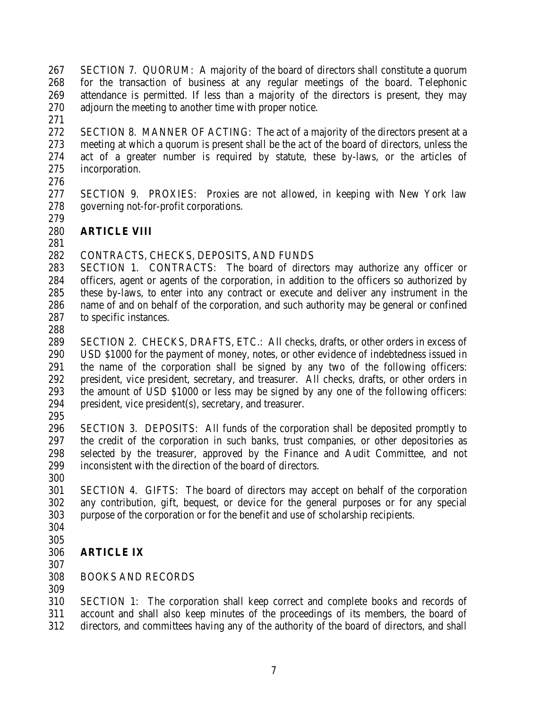SECTION 7. QUORUM: A majority of the board of directors shall constitute a quorum for the transaction of business at any regular meetings of the board. Telephonic attendance is permitted. If less than a majority of the directors is present, they may adjourn the meeting to another time with proper notice.

 SECTION 8. MANNER OF ACTING: The act of a majority of the directors present at a meeting at which a quorum is present shall be the act of the board of directors, unless the act of a greater number is required by statute, these by-laws, or the articles of incorporation.

- 276<br>277
- SECTION 9. PROXIES: Proxies are not allowed, in keeping with New York law governing not-for-profit corporations.
- **ARTICLE VIII**
- 

# CONTRACTS, CHECKS, DEPOSITS, AND FUNDS

 SECTION 1. CONTRACTS: The board of directors may authorize any officer or officers, agent or agents of the corporation, in addition to the officers so authorized by these by-laws, to enter into any contract or execute and deliver any instrument in the name of and on behalf of the corporation, and such authority may be general or confined to specific instances.

 SECTION 2. CHECKS, DRAFTS, ETC.: All checks, drafts, or other orders in excess of USD \$1000 for the payment of money, notes, or other evidence of indebtedness issued in the name of the corporation shall be signed by any two of the following officers: president, vice president, secretary, and treasurer. All checks, drafts, or other orders in the amount of USD \$1000 or less may be signed by any one of the following officers: president, vice president(s), secretary, and treasurer.

 SECTION 3. DEPOSITS: All funds of the corporation shall be deposited promptly to the credit of the corporation in such banks, trust companies, or other depositories as selected by the treasurer, approved by the Finance and Audit Committee, and not inconsistent with the direction of the board of directors.

 SECTION 4. GIFTS: The board of directors may accept on behalf of the corporation any contribution, gift, bequest, or device for the general purposes or for any special purpose of the corporation or for the benefit and use of scholarship recipients.

- 
- 

# **ARTICLE IX**

# BOOKS AND RECORDS

 SECTION 1: The corporation shall keep correct and complete books and records of account and shall also keep minutes of the proceedings of its members, the board of directors, and committees having any of the authority of the board of directors, and shall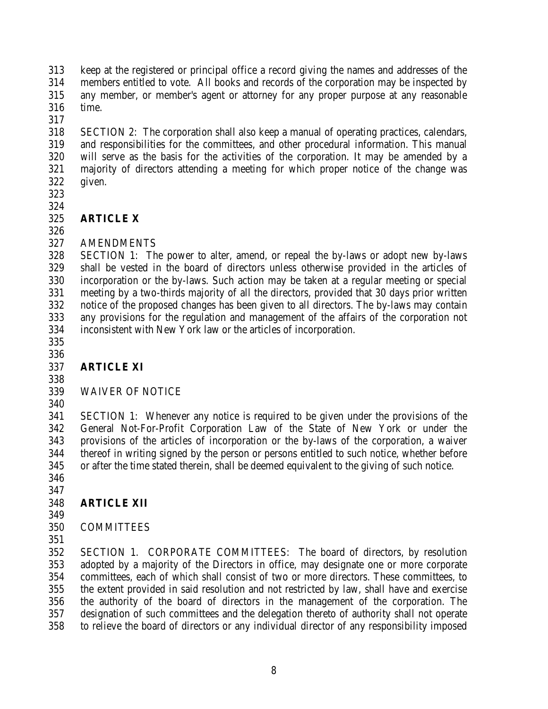keep at the registered or principal office a record giving the names and addresses of the members entitled to vote. All books and records of the corporation may be inspected by any member, or member's agent or attorney for any proper purpose at any reasonable time.

 SECTION 2: The corporation shall also keep a manual of operating practices, calendars, and responsibilities for the committees, and other procedural information. This manual will serve as the basis for the activities of the corporation. It may be amended by a majority of directors attending a meeting for which proper notice of the change was given.

 

#### **ARTICLE X**

# AMENDMENTS

 SECTION 1: The power to alter, amend, or repeal the by-laws or adopt new by-laws shall be vested in the board of directors unless otherwise provided in the articles of incorporation or the by-laws. Such action may be taken at a regular meeting or special meeting by a two-thirds majority of all the directors, provided that 30 days prior written notice of the proposed changes has been given to all directors. The by-laws may contain any provisions for the regulation and management of the affairs of the corporation not inconsistent with New York law or the articles of incorporation.

# 

#### **ARTICLE XI**

# WAIVER OF NOTICE

 SECTION 1: Whenever any notice is required to be given under the provisions of the General Not-For-Profit Corporation Law of the State of New York or under the provisions of the articles of incorporation or the by-laws of the corporation, a waiver thereof in writing signed by the person or persons entitled to such notice, whether before or after the time stated therein, shall be deemed equivalent to the giving of such notice.

 

# **ARTICLE XII**

# COMMITTEES

 SECTION 1. CORPORATE COMMITTEES: The board of directors, by resolution adopted by a majority of the Directors in office, may designate one or more corporate committees, each of which shall consist of two or more directors. These committees, to the extent provided in said resolution and not restricted by law, shall have and exercise the authority of the board of directors in the management of the corporation. The designation of such committees and the delegation thereto of authority shall not operate to relieve the board of directors or any individual director of any responsibility imposed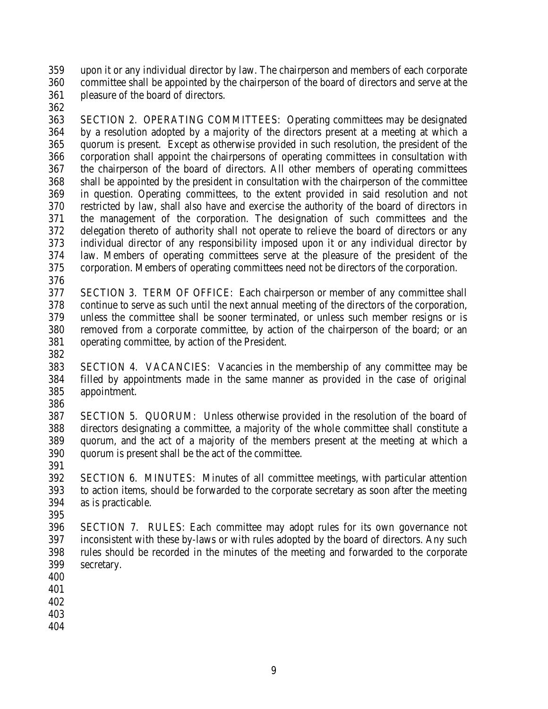upon it or any individual director by law. The chairperson and members of each corporate committee shall be appointed by the chairperson of the board of directors and serve at the pleasure of the board of directors.

 SECTION 2. OPERATING COMMITTEES: Operating committees may be designated by a resolution adopted by a majority of the directors present at a meeting at which a quorum is present. Except as otherwise provided in such resolution, the president of the corporation shall appoint the chairpersons of operating committees in consultation with the chairperson of the board of directors. All other members of operating committees shall be appointed by the president in consultation with the chairperson of the committee in question. Operating committees, to the extent provided in said resolution and not restricted by law, shall also have and exercise the authority of the board of directors in the management of the corporation. The designation of such committees and the delegation thereto of authority shall not operate to relieve the board of directors or any individual director of any responsibility imposed upon it or any individual director by law. Members of operating committees serve at the pleasure of the president of the corporation. Members of operating committees need not be directors of the corporation.

 SECTION 3. TERM OF OFFICE: Each chairperson or member of any committee shall continue to serve as such until the next annual meeting of the directors of the corporation, unless the committee shall be sooner terminated, or unless such member resigns or is 380 removed from a corporate committee, by action of the chairperson of the board; or an operating committee, by action of the President. operating committee, by action of the President.

 SECTION 4. VACANCIES: Vacancies in the membership of any committee may be filled by appointments made in the same manner as provided in the case of original appointment.

 SECTION 5. QUORUM: Unless otherwise provided in the resolution of the board of directors designating a committee, a majority of the whole committee shall constitute a quorum, and the act of a majority of the members present at the meeting at which a quorum is present shall be the act of the committee.

 SECTION 6. MINUTES: Minutes of all committee meetings, with particular attention to action items, should be forwarded to the corporate secretary as soon after the meeting as is practicable.

 SECTION 7. RULES: Each committee may adopt rules for its own governance not inconsistent with these by-laws or with rules adopted by the board of directors. Any such rules should be recorded in the minutes of the meeting and forwarded to the corporate secretary.

- 
- 
- 
- 
-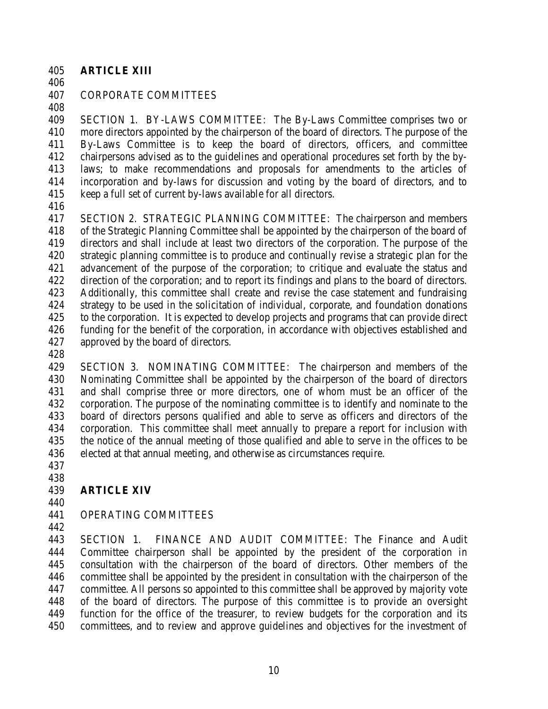#### **ARTICLE XIII**

#### CORPORATE COMMITTEES

 SECTION 1. BY-LAWS COMMITTEE: The By-Laws Committee comprises two or more directors appointed by the chairperson of the board of directors. The purpose of the By-Laws Committee is to keep the board of directors, officers, and committee chairpersons advised as to the guidelines and operational procedures set forth by the by- laws; to make recommendations and proposals for amendments to the articles of incorporation and by-laws for discussion and voting by the board of directors, and to keep a full set of current by-laws available for all directors.

 SECTION 2. STRATEGIC PLANNING COMMITTEE: The chairperson and members of the Strategic Planning Committee shall be appointed by the chairperson of the board of directors and shall include at least two directors of the corporation. The purpose of the strategic planning committee is to produce and continually revise a strategic plan for the advancement of the purpose of the corporation; to critique and evaluate the status and direction of the corporation; and to report its findings and plans to the board of directors. Additionally, this committee shall create and revise the case statement and fundraising strategy to be used in the solicitation of individual, corporate, and foundation donations to the corporation. It is expected to develop projects and programs that can provide direct funding for the benefit of the corporation, in accordance with objectives established and approved by the board of directors.

 SECTION 3. NOMINATING COMMITTEE: The chairperson and members of the Nominating Committee shall be appointed by the chairperson of the board of directors and shall comprise three or more directors, one of whom must be an officer of the corporation. The purpose of the nominating committee is to identify and nominate to the board of directors persons qualified and able to serve as officers and directors of the corporation. This committee shall meet annually to prepare a report for inclusion with the notice of the annual meeting of those qualified and able to serve in the offices to be elected at that annual meeting, and otherwise as circumstances require.

#### **ARTICLE XIV**

#### OPERATING COMMITTEES

 SECTION 1. FINANCE AND AUDIT COMMITTEE: The Finance and Audit Committee chairperson shall be appointed by the president of the corporation in consultation with the chairperson of the board of directors. Other members of the committee shall be appointed by the president in consultation with the chairperson of the committee. All persons so appointed to this committee shall be approved by majority vote of the board of directors. The purpose of this committee is to provide an oversight function for the office of the treasurer, to review budgets for the corporation and its committees, and to review and approve guidelines and objectives for the investment of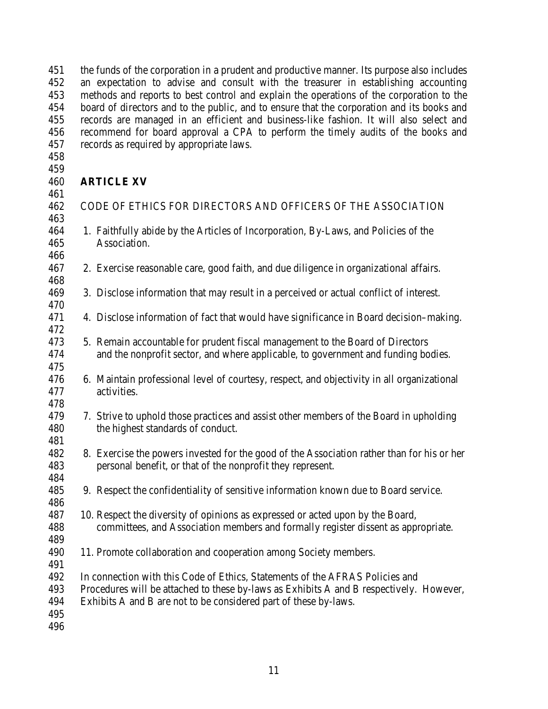the funds of the corporation in a prudent and productive manner. Its purpose also includes an expectation to advise and consult with the treasurer in establishing accounting methods and reports to best control and explain the operations of the corporation to the board of directors and to the public, and to ensure that the corporation and its books and records are managed in an efficient and business-like fashion. It will also select and recommend for board approval a CPA to perform the timely audits of the books and records as required by appropriate laws.

| 460 | <b>ARTICLE XV</b> |  |
|-----|-------------------|--|
|     |                   |  |

| 461 |                                                                                            |
|-----|--------------------------------------------------------------------------------------------|
| 462 | CODE OF ETHICS FOR DIRECTORS AND OFFICERS OF THE ASSOCIATION                               |
| 463 |                                                                                            |
| 464 | 1. Faithfully abide by the Articles of Incorporation, By-Laws, and Policies of the         |
| 465 | Association.                                                                               |
| 466 |                                                                                            |
| 467 | 2. Exercise reasonable care, good faith, and due diligence in organizational affairs.      |
| 468 |                                                                                            |
| 469 | 3. Disclose information that may result in a perceived or actual conflict of interest.     |
| 470 |                                                                                            |
| 471 | 4. Disclose information of fact that would have significance in Board decision–making.     |
| 472 |                                                                                            |
| 473 | 5. Remain accountable for prudent fiscal management to the Board of Directors              |
| 474 | and the nonprofit sector, and where applicable, to government and funding bodies.          |
| 475 |                                                                                            |
| 476 | 6. Maintain professional level of courtesy, respect, and objectivity in all organizational |
| 477 | activities.                                                                                |
| 478 |                                                                                            |
| 479 | 7. Strive to uphold those practices and assist other members of the Board in upholding     |
| 480 | the highest standards of conduct.                                                          |
| 481 |                                                                                            |
| 482 | 8. Exercise the powers invested for the good of the Association rather than for his or her |
| 483 | personal benefit, or that of the nonprofit they represent.                                 |
| 484 |                                                                                            |
| 485 | 9. Respect the confidentiality of sensitive information known due to Board service.        |
| 486 |                                                                                            |
| 487 | 10. Respect the diversity of opinions as expressed or acted upon by the Board,             |
| 488 | committees, and Association members and formally register dissent as appropriate.          |
| 489 |                                                                                            |
| 490 | 11. Promote collaboration and cooperation among Society members.                           |
| 491 |                                                                                            |
| 492 | In connection with this Code of Ethics, Statements of the AFRAS Policies and               |
| 493 | Procedures will be attached to these by-laws as Exhibits A and B respectively. However,    |
| 494 | Exhibits A and B are not to be considered part of these by-laws.                           |
| 495 |                                                                                            |
| 496 |                                                                                            |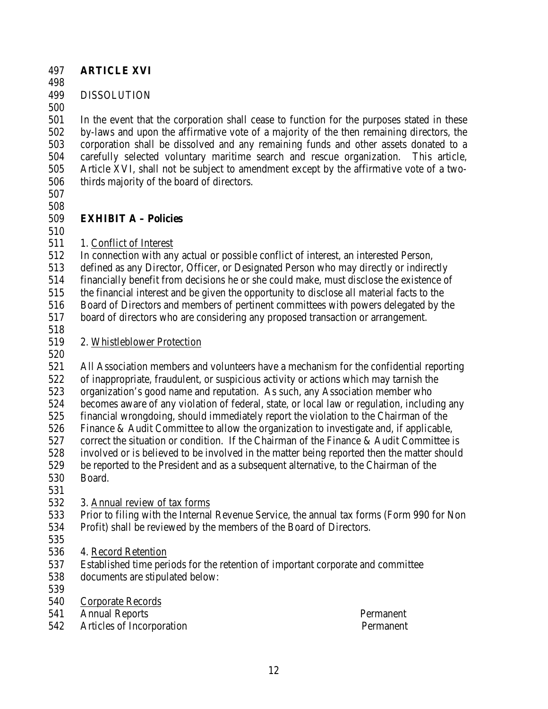#### **ARTICLE XVI**

#### DISSOLUTION

 In the event that the corporation shall cease to function for the purposes stated in these by-laws and upon the affirmative vote of a majority of the then remaining directors, the corporation shall be dissolved and any remaining funds and other assets donated to a carefully selected voluntary maritime search and rescue organization. This article, Article XVI, shall not be subject to amendment except by the affirmative vote of a two-thirds majority of the board of directors.

# 

#### **EXHIBIT A – Policies**

511 1. Conflict of Interest

In connection with any actual or possible conflict of interest, an interested Person,

defined as any Director, Officer, or Designated Person who may directly or indirectly

financially benefit from decisions he or she could make, must disclose the existence of

the financial interest and be given the opportunity to disclose all material facts to the

Board of Directors and members of pertinent committees with powers delegated by the

board of directors who are considering any proposed transaction or arrangement.

### 2. Whistleblower Protection

 All Association members and volunteers have a mechanism for the confidential reporting of inappropriate, fraudulent, or suspicious activity or actions which may tarnish the organization's good name and reputation. As such, any Association member who 524 becomes aware of any violation of federal, state, or local law or regulation, including any<br>525 financial wrongdoing, should immediately report the violation to the Chairman of the financial wrongdoing, should immediately report the violation to the Chairman of the Finance & Audit Committee to allow the organization to investigate and, if applicable, 527 correct the situation or condition. If the Chairman of the Finance & Audit Committee is involved or is believed to be involved in the matter being reported then the matter should be reported to the President and as a subsequent alternative, to the Chairman of the Board.

# 3. Annual review of tax forms

 Prior to filing with the Internal Revenue Service, the annual tax forms (Form 990 for Non Profit) shall be reviewed by the members of the Board of Directors.

- 
- 4. Record Retention
- Established time periods for the retention of important corporate and committee
- documents are stipulated below:
- 
- Corporate Records

Annual Reports Permanent

Articles of Incorporation Permanent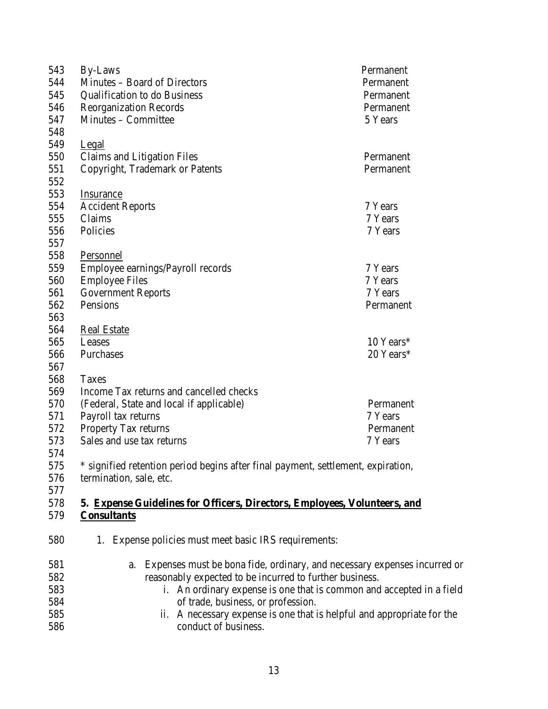| 544<br>Minutes - Board of Directors<br>Permanent                                        |  |
|-----------------------------------------------------------------------------------------|--|
|                                                                                         |  |
| 545<br><b>Qualification to do Business</b><br>Permanent                                 |  |
| 546<br><b>Reorganization Records</b><br>Permanent                                       |  |
| 547<br>Minutes – Committee<br>5 Years                                                   |  |
| 548                                                                                     |  |
| 549<br>Legal                                                                            |  |
| 550<br>Claims and Litigation Files<br>Permanent                                         |  |
| 551<br>Copyright, Trademark or Patents<br>Permanent                                     |  |
| 552                                                                                     |  |
| 553<br><b>Insurance</b>                                                                 |  |
| 554<br>7 Years<br><b>Accident Reports</b>                                               |  |
| Claims<br>555<br>7 Years                                                                |  |
| 556<br>Policies<br>7 Years                                                              |  |
| 557                                                                                     |  |
| 558<br>Personnel                                                                        |  |
| 559<br>Employee earnings/Payroll records<br>7 Years                                     |  |
| 560<br><b>Employee Files</b><br>7 Years                                                 |  |
| 561<br><b>Government Reports</b><br>7 Years                                             |  |
| Pensions<br>562<br>Permanent                                                            |  |
| 563                                                                                     |  |
| 564<br><b>Real Estate</b>                                                               |  |
| 565<br>10 Years*<br>Leases                                                              |  |
| 20 Years*<br>566<br>Purchases                                                           |  |
| 567                                                                                     |  |
| 568<br>Taxes                                                                            |  |
| 569<br>Income Tax returns and cancelled checks                                          |  |
| 570<br>(Federal, State and local if applicable)<br>Permanent                            |  |
| 571<br>Payroll tax returns<br>7 Years                                                   |  |
| 572<br>Property Tax returns<br>Permanent                                                |  |
| 573<br>Sales and use tax returns<br>7 Years                                             |  |
| 574                                                                                     |  |
| * signified retention period begins after final payment, settlement, expiration,<br>575 |  |
| 576<br>termination, sale, etc.                                                          |  |
| 577                                                                                     |  |
| 578<br>5. Expense Guidelines for Officers, Directors, Employees, Volunteers, and        |  |
| 579<br><b>Consultants</b>                                                               |  |
|                                                                                         |  |
| 580<br>1. Expense policies must meet basic IRS requirements:                            |  |
| 581<br>Expenses must be bona fide, ordinary, and necessary expenses incurred or<br>a.   |  |
| 582<br>reasonably expected to be incurred to further business.                          |  |
| 583<br>i. An ordinary expense is one that is common and accepted in a field             |  |
| of trade, business, or profession.<br>584                                               |  |
| ii. A necessary expense is one that is helpful and appropriate for the<br>585           |  |

conduct of business.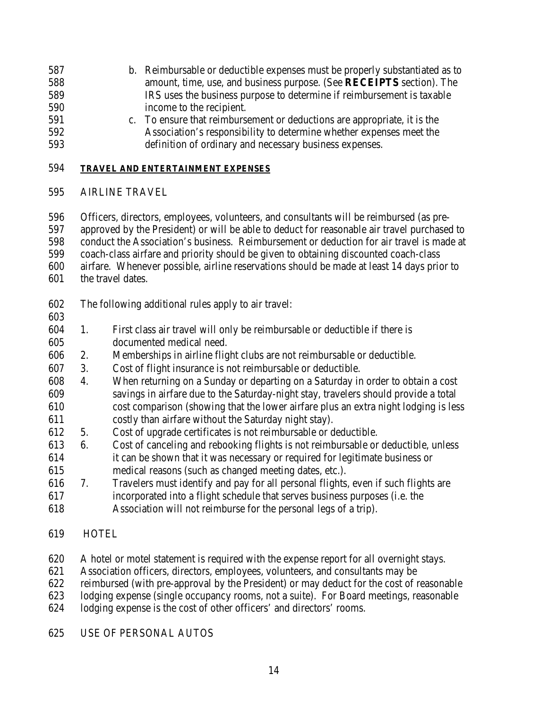- b. Reimbursable or deductible expenses must be properly substantiated as to amount, time, use, and business purpose. (See **RECEIPTS** section). The IRS uses the business purpose to determine if reimbursement is taxable income to the recipient.
- c. To ensure that reimbursement or deductions are appropriate, it is the Association's responsibility to determine whether expenses meet the definition of ordinary and necessary business expenses.

#### **TRAVEL AND ENTERTAINMENT EXPENSES**

#### AIRLINE TRAVEL

 Officers, directors, employees, volunteers, and consultants will be reimbursed (as pre- approved by the President) or will be able to deduct for reasonable air travel purchased to conduct the Association's business. Reimbursement or deduction for air travel is made at coach-class airfare and priority should be given to obtaining discounted coach-class airfare. Whenever possible, airline reservations should be made at least 14 days prior to the travel dates.

The following additional rules apply to air travel:

#### 

- 1. First class air travel will only be reimbursable or deductible if there is 605 documented medical need.
- 2. Memberships in airline flight clubs are not reimbursable or deductible.
- 3. Cost of flight insurance is not reimbursable or deductible.
- 4. When returning on a Sunday or departing on a Saturday in order to obtain a cost savings in airfare due to the Saturday-night stay, travelers should provide a total cost comparison (showing that the lower airfare plus an extra night lodging is less costly than airfare without the Saturday night stay).
- 5. Cost of upgrade certificates is not reimbursable or deductible.
- 6. Cost of canceling and rebooking flights is not reimbursable or deductible, unless
- it can be shown that it was necessary or required for legitimate business or
- medical reasons (such as changed meeting dates, etc.).
- 7. Travelers must identify and pay for all personal flights, even if such flights are incorporated into a flight schedule that serves business purposes (i.e. the
- Association will not reimburse for the personal legs of a trip).

# HOTEL

- A hotel or motel statement is required with the expense report for all overnight stays.
- Association officers, directors, employees, volunteers, and consultants may be
- reimbursed (with pre-approval by the President) or may deduct for the cost of reasonable
- lodging expense (single occupancy rooms, not a suite). For Board meetings, reasonable
- lodging expense is the cost of other officers' and directors' rooms.

# USE OF PERSONAL AUTOS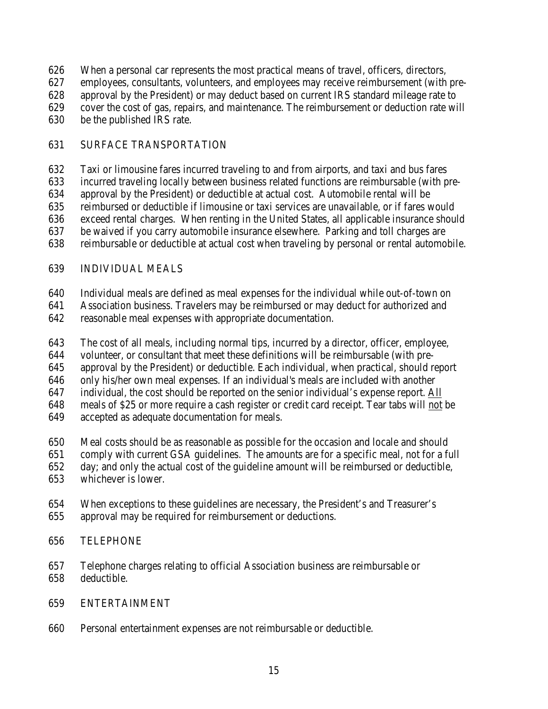- When a personal car represents the most practical means of travel, officers, directors,
- employees, consultants, volunteers, and employees may receive reimbursement (with pre-
- approval by the President) or may deduct based on current IRS standard mileage rate to
- cover the cost of gas, repairs, and maintenance. The reimbursement or deduction rate will
- be the published IRS rate.

### SURFACE TRANSPORTATION

Taxi or limousine fares incurred traveling to and from airports, and taxi and bus fares

incurred traveling locally between business related functions are reimbursable (with pre-

approval by the President) or deductible at actual cost. Automobile rental will be

reimbursed or deductible if limousine or taxi services are unavailable, or if fares would

exceed rental charges. When renting in the United States, all applicable insurance should

be waived if you carry automobile insurance elsewhere. Parking and toll charges are

reimbursable or deductible at actual cost when traveling by personal or rental automobile.

# INDIVIDUAL MEALS

Individual meals are defined as meal expenses for the individual while out-of-town on

Association business. Travelers may be reimbursed or may deduct for authorized and

- reasonable meal expenses with appropriate documentation.
- The cost of all meals, including normal tips, incurred by a director, officer, employee,

volunteer, or consultant that meet these definitions will be reimbursable (with pre-

approval by the President) or deductible. Each individual, when practical, should report

only his/her own meal expenses. If an individual's meals are included with another

647 individual, the cost should be reported on the senior individual's expense report. All

meals of \$25 or more require a cash register or credit card receipt. Tear tabs will not be

- accepted as adequate documentation for meals.
- Meal costs should be as reasonable as possible for the occasion and locale and should
- comply with current GSA guidelines. The amounts are for a specific meal, not for a full
- day; and only the actual cost of the guideline amount will be reimbursed or deductible,
- whichever is lower.
- When exceptions to these guidelines are necessary, the President's and Treasurer's approval may be required for reimbursement or deductions.

# TELEPHONE

 Telephone charges relating to official Association business are reimbursable or deductible.

# ENTERTAINMENT

Personal entertainment expenses are not reimbursable or deductible.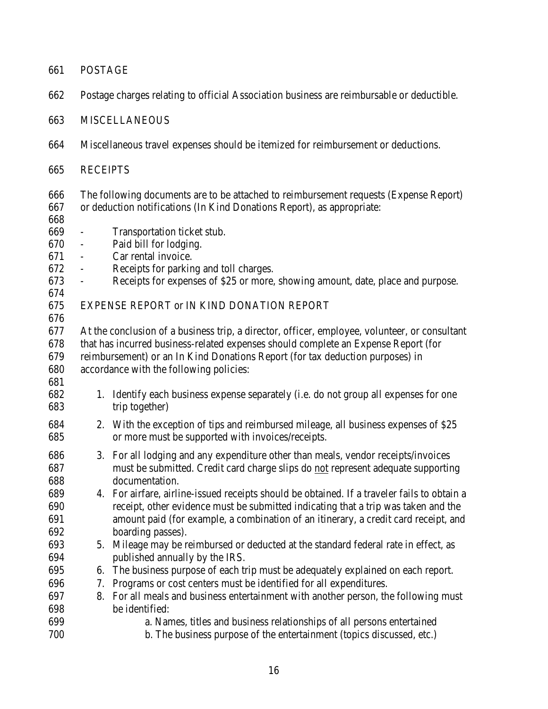| 661        | <b>POSTAGE</b>                                                                            |                                                                                               |  |  |
|------------|-------------------------------------------------------------------------------------------|-----------------------------------------------------------------------------------------------|--|--|
| 662        | Postage charges relating to official Association business are reimbursable or deductible. |                                                                                               |  |  |
| 663        | <b>MISCELLANEOUS</b>                                                                      |                                                                                               |  |  |
| 664        | Miscellaneous travel expenses should be itemized for reimbursement or deductions.         |                                                                                               |  |  |
| 665        | <b>RECEIPTS</b>                                                                           |                                                                                               |  |  |
| 666        |                                                                                           | The following documents are to be attached to reimbursement requests (Expense Report)         |  |  |
| 667        |                                                                                           | or deduction notifications (In Kind Donations Report), as appropriate:                        |  |  |
| 668        |                                                                                           |                                                                                               |  |  |
| 669        | $\overline{\phantom{0}}$                                                                  | Transportation ticket stub.                                                                   |  |  |
| 670        | $\overline{\phantom{a}}$                                                                  | Paid bill for lodging.                                                                        |  |  |
| 671        | $\blacksquare$                                                                            | Car rental invoice.                                                                           |  |  |
| 672        | $\overline{\phantom{a}}$                                                                  | Receipts for parking and toll charges.                                                        |  |  |
| 673        | $\overline{\phantom{a}}$                                                                  | Receipts for expenses of \$25 or more, showing amount, date, place and purpose.               |  |  |
| 674<br>675 |                                                                                           | EXPENSE REPORT or IN KIND DONATION REPORT                                                     |  |  |
| 676        |                                                                                           |                                                                                               |  |  |
| 677        |                                                                                           | At the conclusion of a business trip, a director, officer, employee, volunteer, or consultant |  |  |
| 678        |                                                                                           | that has incurred business-related expenses should complete an Expense Report (for            |  |  |
| 679        |                                                                                           | reimbursement) or an In Kind Donations Report (for tax deduction purposes) in                 |  |  |
| 680        |                                                                                           | accordance with the following policies:                                                       |  |  |
| 681        |                                                                                           |                                                                                               |  |  |
| 682        |                                                                                           | 1. Identify each business expense separately (i.e. do not group all expenses for one          |  |  |
| 683        |                                                                                           | trip together)                                                                                |  |  |
| 684        |                                                                                           | 2. With the exception of tips and reimbursed mileage, all business expenses of \$25           |  |  |
| 685        |                                                                                           | or more must be supported with invoices/receipts.                                             |  |  |
| 686        |                                                                                           | 3. For all lodging and any expenditure other than meals, vendor receipts/invoices             |  |  |
| 687        |                                                                                           | must be submitted. Credit card charge slips do not represent adequate supporting              |  |  |
| 688        |                                                                                           | documentation.                                                                                |  |  |
| 689        |                                                                                           | 4. For airfare, airline-issued receipts should be obtained. If a traveler fails to obtain a   |  |  |
| 690        |                                                                                           | receipt, other evidence must be submitted indicating that a trip was taken and the            |  |  |
| 691        |                                                                                           | amount paid (for example, a combination of an itinerary, a credit card receipt, and           |  |  |
| 692        |                                                                                           | boarding passes).                                                                             |  |  |
| 693        |                                                                                           | 5. Mileage may be reimbursed or deducted at the standard federal rate in effect, as           |  |  |
| 694        |                                                                                           | published annually by the IRS.                                                                |  |  |
| 695        | 6.                                                                                        | The business purpose of each trip must be adequately explained on each report.                |  |  |
| 696        | 7.                                                                                        | Programs or cost centers must be identified for all expenditures.                             |  |  |
| 697        | 8.                                                                                        | For all meals and business entertainment with another person, the following must              |  |  |
| 698        |                                                                                           | be identified:                                                                                |  |  |
| 699        |                                                                                           | a. Names, titles and business relationships of all persons entertained                        |  |  |
| 700        |                                                                                           | b. The business purpose of the entertainment (topics discussed, etc.)                         |  |  |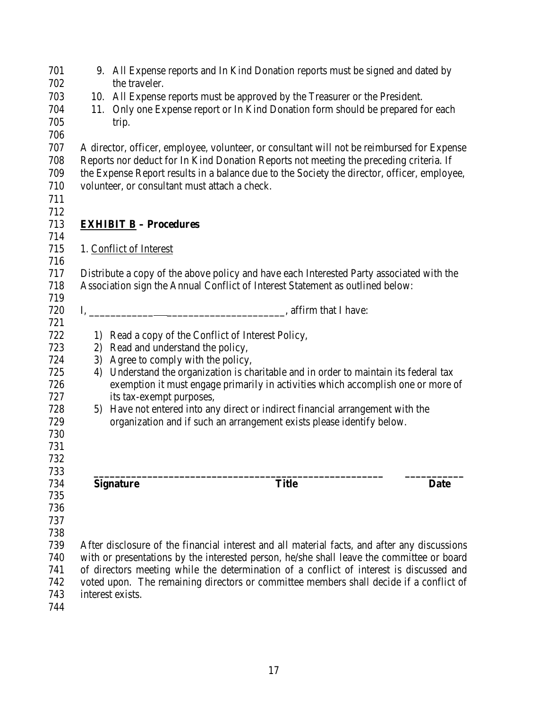| 701 |     |                                                    | 9. All Expense reports and In Kind Donation reports must be signed and dated by              |             |
|-----|-----|----------------------------------------------------|----------------------------------------------------------------------------------------------|-------------|
| 702 |     | the traveler.                                      |                                                                                              |             |
| 703 |     |                                                    | 10. All Expense reports must be approved by the Treasurer or the President.                  |             |
| 704 | 11. |                                                    | Only one Expense report or In Kind Donation form should be prepared for each                 |             |
| 705 |     | trip.                                              |                                                                                              |             |
| 706 |     |                                                    |                                                                                              |             |
| 707 |     |                                                    | A director, officer, employee, volunteer, or consultant will not be reimbursed for Expense   |             |
| 708 |     |                                                    | Reports nor deduct for In Kind Donation Reports not meeting the preceding criteria. If       |             |
| 709 |     |                                                    | the Expense Report results in a balance due to the Society the director, officer, employee,  |             |
| 710 |     | volunteer, or consultant must attach a check.      |                                                                                              |             |
| 711 |     |                                                    |                                                                                              |             |
| 712 |     |                                                    |                                                                                              |             |
| 713 |     | <b>EXHIBIT B</b> – Procedures                      |                                                                                              |             |
| 714 |     |                                                    |                                                                                              |             |
| 715 |     | 1. Conflict of Interest                            |                                                                                              |             |
| 716 |     |                                                    |                                                                                              |             |
| 717 |     |                                                    | Distribute a copy of the above policy and have each Interested Party associated with the     |             |
| 718 |     |                                                    | Association sign the Annual Conflict of Interest Statement as outlined below:                |             |
| 719 |     |                                                    |                                                                                              |             |
| 720 |     |                                                    |                                                                                              |             |
| 721 |     |                                                    |                                                                                              |             |
| 722 |     | 1) Read a copy of the Conflict of Interest Policy, |                                                                                              |             |
| 723 |     | 2) Read and understand the policy,                 |                                                                                              |             |
| 724 |     | 3) Agree to comply with the policy,                |                                                                                              |             |
| 725 |     |                                                    | 4) Understand the organization is charitable and in order to maintain its federal tax        |             |
| 726 |     |                                                    | exemption it must engage primarily in activities which accomplish one or more of             |             |
| 727 |     | its tax-exempt purposes,                           |                                                                                              |             |
| 728 |     |                                                    | 5) Have not entered into any direct or indirect financial arrangement with the               |             |
| 729 |     |                                                    | organization and if such an arrangement exists please identify below.                        |             |
| 730 |     |                                                    |                                                                                              |             |
| 731 |     |                                                    |                                                                                              |             |
| 732 |     |                                                    |                                                                                              |             |
| 733 |     |                                                    |                                                                                              |             |
| 734 |     | <b>Signature</b>                                   | <b>Title</b>                                                                                 | <b>Date</b> |
| 735 |     |                                                    |                                                                                              |             |
| 736 |     |                                                    |                                                                                              |             |
| 737 |     |                                                    |                                                                                              |             |
| 738 |     |                                                    |                                                                                              |             |
| 739 |     |                                                    | After disclosure of the financial interest and all material facts, and after any discussions |             |
| 740 |     |                                                    | with or presentations by the interested person, he/she shall leave the committee or board    |             |
| 741 |     |                                                    | of directors meeting while the determination of a conflict of interest is discussed and      |             |
| 742 |     |                                                    | voted upon. The remaining directors or committee members shall decide if a conflict of       |             |
| 743 |     | interest exists.                                   |                                                                                              |             |
| 744 |     |                                                    |                                                                                              |             |
|     |     |                                                    |                                                                                              |             |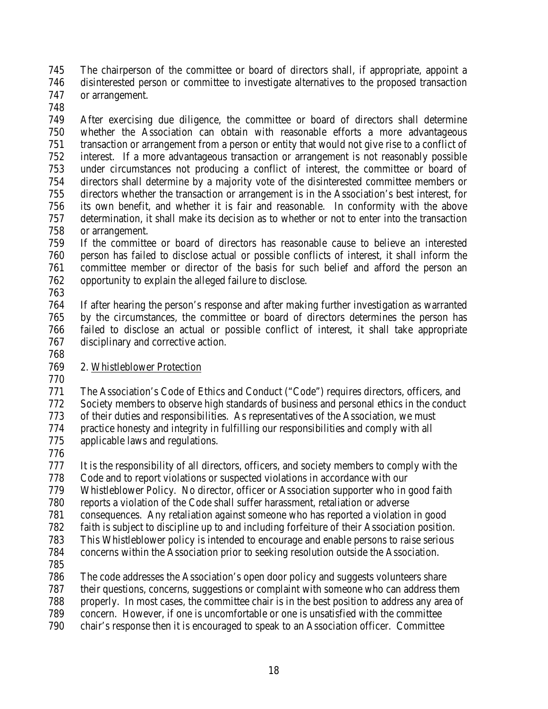The chairperson of the committee or board of directors shall, if appropriate, appoint a disinterested person or committee to investigate alternatives to the proposed transaction or arrangement.

 After exercising due diligence, the committee or board of directors shall determine whether the Association can obtain with reasonable efforts a more advantageous transaction or arrangement from a person or entity that would not give rise to a conflict of interest. If a more advantageous transaction or arrangement is not reasonably possible under circumstances not producing a conflict of interest, the committee or board of directors shall determine by a majority vote of the disinterested committee members or directors whether the transaction or arrangement is in the Association's best interest, for its own benefit, and whether it is fair and reasonable. In conformity with the above determination, it shall make its decision as to whether or not to enter into the transaction or arrangement.

 If the committee or board of directors has reasonable cause to believe an interested person has failed to disclose actual or possible conflicts of interest, it shall inform the committee member or director of the basis for such belief and afford the person an opportunity to explain the alleged failure to disclose.

 If after hearing the person's response and after making further investigation as warranted by the circumstances, the committee or board of directors determines the person has failed to disclose an actual or possible conflict of interest, it shall take appropriate disciplinary and corrective action.

# 2. Whistleblower Protection

 The Association's Code of Ethics and Conduct ("Code") requires directors, officers, and Society members to observe high standards of business and personal ethics in the conduct of their duties and responsibilities. As representatives of the Association, we must practice honesty and integrity in fulfilling our responsibilities and comply with all applicable laws and regulations.

 It is the responsibility of all directors, officers, and society members to comply with the Code and to report violations or suspected violations in accordance with our

Whistleblower Policy. No director, officer or Association supporter who in good faith

reports a violation of the Code shall suffer harassment, retaliation or adverse

consequences. Any retaliation against someone who has reported a violation in good

faith is subject to discipline up to and including forfeiture of their Association position.

This Whistleblower policy is intended to encourage and enable persons to raise serious

concerns within the Association prior to seeking resolution outside the Association.

The code addresses the Association's open door policy and suggests volunteers share

their questions, concerns, suggestions or complaint with someone who can address them

properly. In most cases, the committee chair is in the best position to address any area of

concern. However, if one is uncomfortable or one is unsatisfied with the committee

chair's response then it is encouraged to speak to an Association officer. Committee